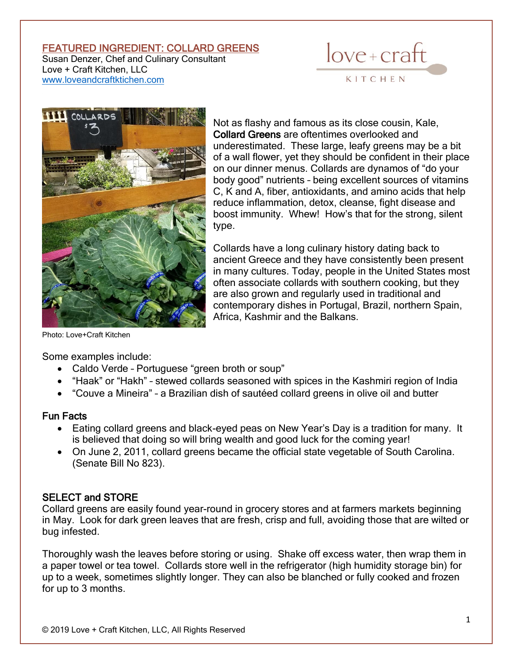#### FEATURED INGREDIENT: COLLARD GREENS

Susan Denzer, Chef and Culinary Consultant Love + Craft Kitchen, LLC [www.loveandcraftktichen.com](http://www.loveandcraftktichen.com/)





Not as flashy and famous as its close cousin, Kale, Collard Greens are oftentimes overlooked and underestimated. These large, leafy greens may be a bit of a wall flower, yet they should be confident in their place on our dinner menus. Collards are dynamos of "do your body good" nutrients – being excellent sources of vitamins C, K and A, fiber, antioxidants, and amino acids that help reduce inflammation, detox, cleanse, fight disease and boost immunity. Whew! How's that for the strong, silent type.

Collards have a long culinary history dating back to ancient Greece and they have consistently been present in many cultures. Today, people in the United States most often associate collards with southern cooking, but they are also grown and regularly used in traditional and contemporary dishes in Portugal, Brazil, northern Spain, Africa, Kashmir and the Balkans.

Photo: Love+Craft Kitchen

Some examples include:

- Caldo Verde Portuguese "green broth or soup"
- "Haak" or "Hakh" stewed collards seasoned with spices in the Kashmiri region of India
- "Couve a Mineira" a Brazilian dish of sautéed collard greens in olive oil and butter

## Fun Facts

- Eating collard greens and black-eyed peas on New Year's Day is a tradition for many. It is believed that doing so will bring wealth and good luck for the coming year!
- On June 2, 2011, collard greens became the official state vegetable of South Carolina. (Senate Bill No 823).

## SELECT and STORE

Collard greens are easily found year-round in grocery stores and at farmers markets beginning in May. Look for dark green leaves that are fresh, crisp and full, avoiding those that are wilted or bug infested.

Thoroughly wash the leaves before storing or using. Shake off excess water, then wrap them in a paper towel or tea towel. Collards store well in the refrigerator (high humidity storage bin) for up to a week, sometimes slightly longer. They can also be blanched or fully cooked and frozen for up to 3 months.